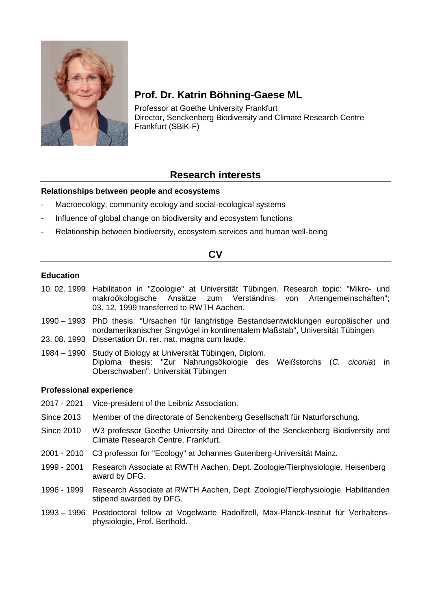

# **Prof. Dr. Katrin Böhning-Gaese ML**

Professor at Goethe University Frankfurt Director, Senckenberg Biodiversity and Climate Research Centre Frankfurt (SBiK-F)

# **Research interests**

## **Relationships between people and ecosystems**

- Macroecology, community ecology and social-ecological systems
- Influence of global change on biodiversity and ecosystem functions
- Relationship between biodiversity, ecosystem services and human well-being

## **CV**

## **Education**

- 10. 02. 1999 Habilitation in "Zoologie" at Universität Tübingen. Research topic: "Mikro- und makroökologische Ansätze zum Verständnis von Artengemeinschaften"; 03. 12. 1999 transferred to RWTH Aachen.
- 1990 1993 PhD thesis: "Ursachen für langfristige Bestandsentwicklungen europäischer und nordamerikanischer Singvögel in kontinentalem Maßstab", Universität Tübingen 23. 08. 1993 Dissertation Dr. rer. nat. magna cum laude.
- 1984 1990 Study of Biology at Universität Tübingen, Diplom. Diploma thesis: "Zur Nahrungsökologie des Weißstorchs (*C. ciconia*) in Oberschwaben", Universität Tübingen

## **Professional experience**

- 2017 2021 Vice-president of the Leibniz Association.
- Since 2013 Member of the directorate of Senckenberg Gesellschaft für Naturforschung.
- Since 2010 W3 professor Goethe University and Director of the Senckenberg Biodiversity and Climate Research Centre, Frankfurt.
- 2001 2010 C3 professor for "Ecology" at Johannes Gutenberg-Universität Mainz.
- 1999 2001 Research Associate at RWTH Aachen, Dept. Zoologie/Tierphysiologie. Heisenberg award by DFG.
- 1996 1999 Research Associate at RWTH Aachen, Dept. Zoologie/Tierphysiologie. Habilitanden stipend awarded by DFG.
- 1993 1996 Postdoctoral fellow at Vogelwarte Radolfzell, Max-Planck-Institut für Verhaltensphysiologie, Prof. Berthold.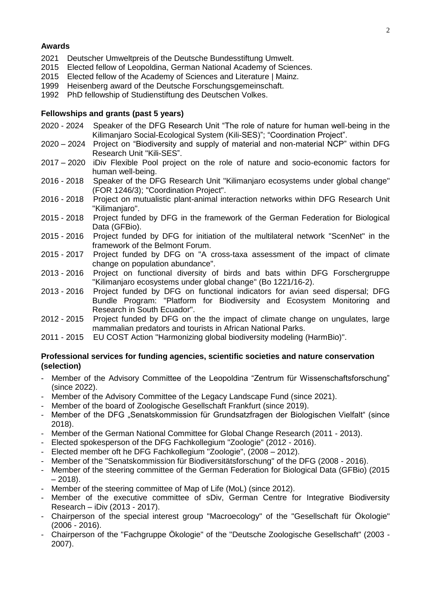### **Awards**

- 2021 Deutscher Umweltpreis of the Deutsche Bundesstiftung Umwelt.<br>2015 Elected fellow of Leopoldina. German National Academy of Scier
- 2015 Elected fellow of Leopoldina, German National Academy of Sciences.<br>2015 Elected fellow of the Academy of Sciences and Literature | Mainz.
- 2015 Elected fellow of the Academy of Sciences and Literature | Mainz.<br>1999 Heisenberg award of the Deutsche Forschungsgemeinschaft.
- Heisenberg award of the Deutsche Forschungsgemeinschaft.
- 1992 PhD fellowship of Studienstiftung des Deutschen Volkes.

### **Fellowships and grants (past 5 years)**

- 2020 2024 Speaker of the DFG Research Unit "The role of nature for human well-being in the Kilimanjaro Social-Ecological System (Kili-SES)"; "Coordination Project".
- 2020 2024 Project on "Biodiversity and supply of material and non-material NCP" within DFG Research Unit "Kili-SES".
- 2017 2020 iDiv Flexible Pool project on the role of nature and socio-economic factors for human well-being.
- 2016 2018 Speaker of the DFG Research Unit "Kilimanjaro ecosystems under global change" (FOR 1246/3); "Coordination Project".
- 2016 2018 Project on mutualistic plant-animal interaction networks within DFG Research Unit "Kilimanjaro".
- 2015 2018 Project funded by DFG in the framework of the German Federation for Biological Data (GFBio).
- 2015 2016 Project funded by DFG for initiation of the multilateral network "ScenNet" in the framework of the Belmont Forum.
- 2015 2017 Project funded by DFG on "A cross-taxa assessment of the impact of climate change on population abundance".
- 2013 2016 Project on functional diversity of birds and bats within DFG Forschergruppe "Kilimanjaro ecosystems under global change" (Bo 1221/16-2).
- 2013 2016 Project funded by DFG on functional indicators for avian seed dispersal; DFG Bundle Program: "Platform for Biodiversity and Ecosystem Monitoring and Research in South Ecuador".
- 2012 2015 Project funded by DFG on the the impact of climate change on ungulates, large mammalian predators and tourists in African National Parks.
- 2011 2015 EU COST Action "Harmonizing global biodiversity modeling (HarmBio)".

### **Professional services for funding agencies, scientific societies and nature conservation (selection)**

- Member of the Advisory Committee of the Leopoldina "Zentrum für Wissenschaftsforschung" (since 2022).
- Member of the Advisory Committee of the Legacy Landscape Fund (since 2021).
- Member of the board of Zoologische Gesellschaft Frankfurt (since 2019).
- Member of the DFG "Senatskommission für Grundsatzfragen der Biologischen Vielfalt" (since 2018).
- Member of the German National Committee for Global Change Research (2011 2013).
- Elected spokesperson of the DFG Fachkollegium "Zoologie" (2012 2016).
- Elected member oft he DFG Fachkollegium "Zoologie", (2008 2012).
- Member of the "Senatskommission für Biodiversitätsforschung" of the DFG (2008 2016).
- Member of the steering committee of the German Federation for Biological Data (GFBio) (2015  $-2018$ ).
- Member of the steering committee of Map of Life (MoL) (since 2012).
- Member of the executive committee of sDiv, German Centre for Integrative Biodiversity Research – iDiv (2013 - 2017).
- Chairperson of the special interest group "Macroecology" of the "Gesellschaft für Ökologie" (2006 - 2016).
- Chairperson of the "Fachgruppe Ökologie" of the "Deutsche Zoologische Gesellschaft" (2003 2007).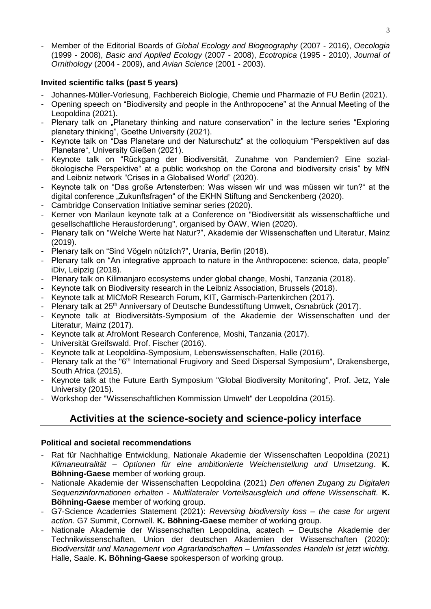- Member of the Editorial Boards of *Global Ecology and Biogeography* (2007 - 2016), *Oecologia* (1999 - 2008), *Basic and Applied Ecology* (2007 - 2008), *Ecotropica* (1995 - 2010), *Journal of Ornithology* (2004 - 2009), and *Avian Science* (2001 - 2003).

## **Invited scientific talks (past 5 years)**

- Johannes-Müller-Vorlesung, Fachbereich Biologie, Chemie und Pharmazie of FU Berlin (2021).
- Opening speech on "Biodiversity and people in the Anthropocene" at the Annual Meeting of the Leopoldina (2021).
- Plenary talk on "Planetary thinking and nature conservation" in the lecture series "Exploring planetary thinking", Goethe University (2021).
- Keynote talk on "Das Planetare und der Naturschutz" at the colloquium "Perspektiven auf das Planetare", University Gießen (2021).
- Keynote talk on "Rückgang der Biodiversität, Zunahme von Pandemien? Eine sozialökologische Perspektive" at a public workshop on the Corona and biodiversity crisis" by MfN and Leibniz network "Crises in a Globalised World" (2020).
- Keynote talk on "Das große Artensterben: Was wissen wir und was müssen wir tun?" at the digital conference "Zukunftsfragen" of the EKHN Stiftung and Senckenberg (2020).
- Cambridge Conservation Initiative seminar series (2020).
- Kerner von Marilaun keynote talk at a Conference on "Biodiversität als wissenschaftliche und gesellschaftliche Herausforderung", organised by ÖAW, Wien (2020).
- Plenary talk on "Welche Werte hat Natur?", Akademie der Wissenschaften und Literatur, Mainz (2019).
- Plenary talk on "Sind Vögeln nützlich?", Urania, Berlin (2018).
- Plenary talk on "An integrative approach to nature in the Anthropocene: science, data, people" iDiv, Leipzig (2018).
- Plenary talk on Kilimanjaro ecosystems under global change, Moshi, Tanzania (2018).
- Keynote talk on Biodiversity research in the Leibniz Association, Brussels (2018).
- Keynote talk at MICMoR Research Forum, KIT, Garmisch-Partenkirchen (2017).
- Plenary talk at 25<sup>th</sup> Anniversary of Deutsche Bundesstiftung Umwelt, Osnabrück (2017).
- Keynote talk at Biodiversitäts-Symposium of the Akademie der Wissenschaften und der Literatur, Mainz (2017).
- Keynote talk at AfroMont Research Conference, Moshi, Tanzania (2017).
- Universität Greifswald. Prof. Fischer (2016).
- Keynote talk at Leopoldina-Symposium, Lebenswissenschaften, Halle (2016).
- Plenary talk at the "6<sup>th</sup> International Frugivory and Seed Dispersal Symposium", Drakensberge, South Africa (2015).
- Keynote talk at the Future Earth Symposium "Global Biodiversity Monitoring", Prof. Jetz, Yale University (2015).
- Workshop der "Wissenschaftlichen Kommission Umwelt" der Leopoldina (2015).

## **Activities at the science-society and science-policy interface**

## **Political and societal recommendations**

- Rat für Nachhaltige Entwicklung, Nationale Akademie der Wissenschaften Leopoldina (2021) *Klimaneutralität – Optionen für eine ambitionierte Weichenstellung und Umsetzung*. **K. Böhning-Gaese** member of working group.
- Nationale Akademie der Wissenschaften Leopoldina (2021) *Den offenen Zugang zu Digitalen Sequenzinformationen erhalten - Multilateraler Vorteilsausgleich und offene Wissenschaft.* **K. Böhning-Gaese** member of working group.
- G7-Science Academies Statement (2021): *Reversing biodiversity loss – the case for urgent action*. G7 Summit, Cornwell. **K. Böhning-Gaese** member of working group.
- Nationale Akademie der Wissenschaften Leopoldina, acatech Deutsche Akademie der Technikwissenschaften, Union der deutschen Akademien der Wissenschaften (2020): *Biodiversität und Management von Agrarlandschaften – Umfassendes Handeln ist jetzt wichtig*. Halle, Saale. **K. Böhning-Gaese** spokesperson of working group*.*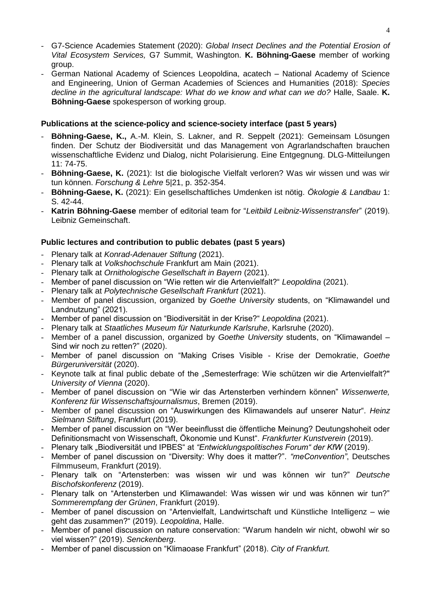- G7-Science Academies Statement (2020): *Global Insect Declines and the Potential Erosion of Vital Ecosystem Services,* G7 Summit, Washington. **K. Böhning-Gaese** member of working group.
- German National Academy of Sciences Leopoldina, acatech National Academy of Science and Engineering, Union of German Academies of Sciences and Humanities (2018): *Species decline in the agricultural landscape: What do we know and what can we do?* Halle, Saale. **K. Böhning-Gaese** spokesperson of working group.

## **Publications at the science-policy and science-society interface (past 5 years)**

- **Böhning-Gaese, K.,** A.-M. Klein, S. Lakner, and R. Seppelt (2021): Gemeinsam Lösungen finden. Der Schutz der Biodiversität und das Management von Agrarlandschaften brauchen wissenschaftliche Evidenz und Dialog, nicht Polarisierung. Eine Entgegnung. DLG-Mitteilungen 11: 74-75.
- **Böhning-Gaese, K.** (2021): Ist die biologische Vielfalt verloren? Was wir wissen und was wir tun können. *Forschung & Lehre* 5|21, p. 352-354.
- **Böhning-Gaese, K.** (2021): Ein gesellschaftliches Umdenken ist nötig. *Ökologie & Landbau* 1: S. 42-44.
- **Katrin Böhning-Gaese** member of editorial team for "*Leitbild Leibniz-Wissenstransfer*" (2019). Leibniz Gemeinschaft.

## **Public lectures and contribution to public debates (past 5 years)**

- Plenary talk at *Konrad-Adenauer Stiftung* (2021).
- Plenary talk at *Volkshochschule* Frankfurt am Main (2021).
- Plenary talk at *Ornithologische Gesellschaft in Bayern* (2021).
- Member of panel discussion on "Wie retten wir die Artenvielfalt?" *Leopoldina* (2021).
- Plenary talk at *Polytechnische Gesellschaft Frankfurt* (2021).
- Member of panel discussion, organized by *Goethe University* students, on "Klimawandel und Landnutzung" (2021).
- Member of panel discussion on "Biodiversität in der Krise?" *Leopoldina* (2021).
- Plenary talk at *Staatliches Museum für Naturkunde Karlsruhe*, Karlsruhe (2020).
- Member of a panel discussion, organized by *Goethe University* students, on "Klimawandel Sind wir noch zu retten?" (2020).
- Member of panel discussion on "Making Crises Visible Krise der Demokratie, *Goethe Bürgeruniversität* (2020).
- Keynote talk at final public debate of the "Semesterfrage: Wie schützen wir die Artenvielfalt?" *University of Vienna* (2020).
- Member of panel discussion on "Wie wir das Artensterben verhindern können" *Wissenwerte, Konferenz für Wissenschaftsjournalismus*, Bremen (2019).
- Member of panel discussion on "Auswirkungen des Klimawandels auf unserer Natur". *Heinz Sielmann Stiftung*, Frankfurt (2019).
- Member of panel discussion on "Wer beeinflusst die öffentliche Meinung? Deutungshoheit oder Definitionsmacht von Wissenschaft, Ökonomie und Kunst". *Frankfurter Kunstverein* (2019).
- Plenary talk "Biodiversität und IPBES" at "Entwicklungspolitisches Forum" der KfW (2019).
- Member of panel discussion on "Diversity: Why does it matter?". *"meConvention"*, Deutsches Filmmuseum, Frankfurt (2019).
- Plenary talk on "Artensterben: was wissen wir und was können wir tun?" *Deutsche Bischofskonferenz* (2019).
- Plenary talk on "Artensterben und Klimawandel: Was wissen wir und was können wir tun?" *Sommerempfang der Grünen*, Frankfurt (2019).
- Member of panel discussion on "Artenvielfalt, Landwirtschaft und Künstliche Intelligenz wie geht das zusammen?" (2019). *Leopoldina*, Halle.
- Member of panel discussion on nature conservation: "Warum handeln wir nicht, obwohl wir so viel wissen?" (2019). *Senckenberg*.
- Member of panel discussion on "Klimaoase Frankfurt" (2018). *City of Frankfurt.*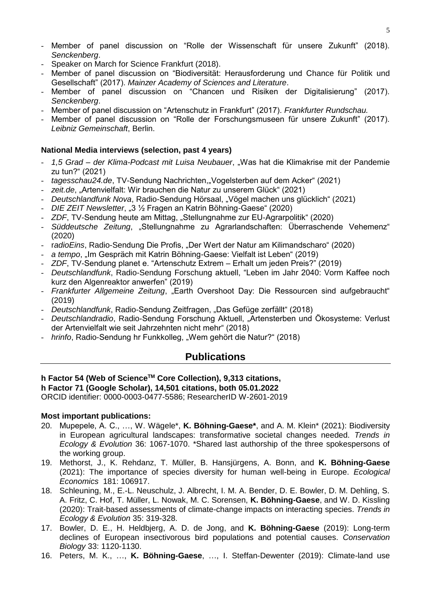- Member of panel discussion on "Rolle der Wissenschaft für unsere Zukunft" (2018). *Senckenberg*.
- Speaker on March for Science Frankfurt (2018).
- Member of panel discussion on "Biodiversität: Herausforderung und Chance für Politik und Gesellschaft" (2017). *Mainzer Academy of Sciences and Literature*.
- Member of panel discussion on "Chancen und Risiken der Digitalisierung" (2017). *Senckenberg*.
- Member of panel discussion on "Artenschutz in Frankfurt" (2017). *Frankfurter Rundschau.*
- Member of panel discussion on "Rolle der Forschungsmuseen für unsere Zukunft" (2017). *Leibniz Gemeinschaft*, Berlin.

#### **National Media interviews (selection, past 4 years)**

- *1,5 Grad – der Klima-Podcast mit Luisa Neubauer*, "Was hat die Klimakrise mit der Pandemie zu tun?" (2021)
- *tagesschau24.de*, TV-Sendung Nachrichten,"Vogelsterben auf dem Acker" (2021)
- zeit.de, "Artenvielfalt: Wir brauchen die Natur zu unserem Glück" (2021)
- *Deutschlandfunk Nova*, Radio-Sendung Hörsaal, "Vögel machen uns glücklich" (2021)
- *DIE ZEIT Newsletter*, "3 ½ Fragen an Katrin Böhning-Gaese" (2020)
- *ZDF*, TV-Sendung heute am Mittag, "Stellungnahme zur EU-Agrarpolitik" (2020)
- *Süddeutsche Zeitung*, "Stellungnahme zu Agrarlandschaften: Überraschende Vehemenz" (2020)
- r*adioEins*, Radio-Sendung Die Profis, "Der Wert der Natur am Kilimandscharo" (2020)
- *a tempo*, "Im Gespräch mit Katrin Böhning-Gaese: Vielfalt ist Leben" (2019)
- *ZDF*, TV-Sendung planet e. "Artenschutz Extrem Erhalt um jeden Preis?" (2019)
- *Deutschlandfunk*, Radio-Sendung Forschung aktuell, "Leben im Jahr 2040: Vorm Kaffee noch kurz den Algenreaktor anwerfen" (2019)
- *Frankfurter Allgemeine Zeitung*, "Earth Overshoot Day: Die Ressourcen sind aufgebraucht" (2019)
- *Deutschlandfunk*, Radio-Sendung Zeitfragen, "Das Gefüge zerfällt" (2018)
- *Deutschlandradio*, Radio-Sendung Forschung Aktuell, "Artensterben und Ökosysteme: Verlust der Artenvielfalt wie seit Jahrzehnten nicht mehr" (2018)
- *hrinfo*, Radio-Sendung hr Funkkolleg, "Wem gehört die Natur?" (2018)

## **Publications**

## **h Factor 54 (Web of ScienceTM Core Collection), 9,313 citations,**

**h Factor 71 (Google Scholar), 14,501 citations, both 05.01.2022**

ORCID identifier: 0000-0003-0477-5586; ResearcherID W-2601-2019

#### **Most important publications:**

- 20. Mupepele, A. C., …, W. Wägele\*, **K. Böhning-Gaese\***, and A. M. Klein\* (2021): Biodiversity in European agricultural landscapes: transformative societal changes needed. *Trends in Ecology & Evolution* 36: 1067-1070. \*Shared last authorship of the three spokespersons of the working group.
- 19. Methorst, J., K. Rehdanz, T. Müller, B. Hansjürgens, A. Bonn, and **K. Böhning-Gaese** (2021): The importance of species diversity for human well-being in Europe. *Ecological Economics* 181: 106917.
- 18. Schleuning, M., E.-L. Neuschulz, J. Albrecht, I. M. A. Bender, D. E. Bowler, D. M. Dehling, S. A. Fritz, C. Hof, T. Müller, L. Nowak, M. C. Sorensen, **K. Böhning-Gaese**, and W. D. Kissling (2020): Trait-based assessments of climate-change impacts on interacting species. *Trends in Ecology & Evolution* 35: 319-328.
- 17. Bowler, D. E., H. Heldbjerg, A. D. de Jong, and **K. Böhning-Gaese** (2019): Long-term declines of European insectivorous bird populations and potential causes. *Conservation Biology* 33: 1120-1130.
- 16. Peters, M. K., …, **K. Böhning-Gaese**, …, I. Steffan-Dewenter (2019): Climate-land use